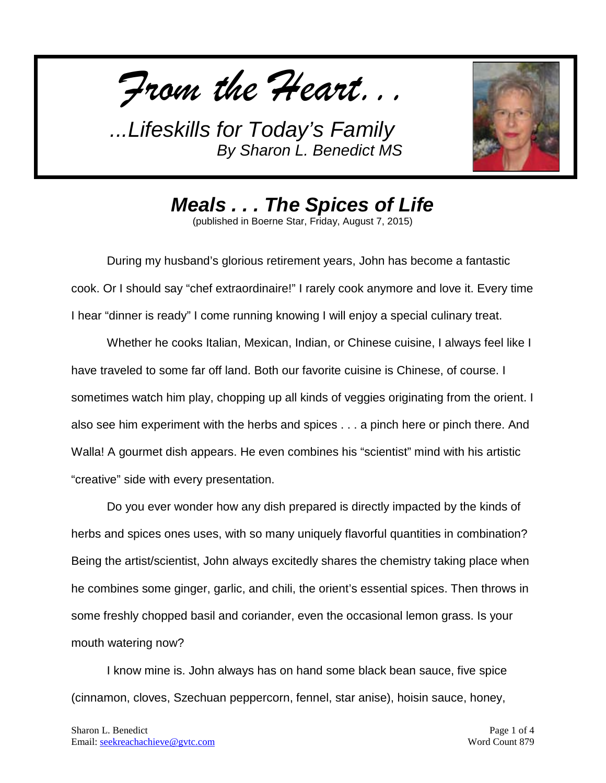*From the Heart...*



*Meals . . . The Spices of Life*

(published in Boerne Star, Friday, August 7, 2015)

During my husband's glorious retirement years, John has become a fantastic cook. Or I should say "chef extraordinaire!" I rarely cook anymore and love it. Every time I hear "dinner is ready" I come running knowing I will enjoy a special culinary treat.

Whether he cooks Italian, Mexican, Indian, or Chinese cuisine, I always feel like I have traveled to some far off land. Both our favorite cuisine is Chinese, of course. I sometimes watch him play, chopping up all kinds of veggies originating from the orient. I also see him experiment with the herbs and spices . . . a pinch here or pinch there. And Walla! A gourmet dish appears. He even combines his "scientist" mind with his artistic "creative" side with every presentation.

Do you ever wonder how any dish prepared is directly impacted by the kinds of herbs and spices ones uses, with so many uniquely flavorful quantities in combination? Being the artist/scientist, John always excitedly shares the chemistry taking place when he combines some ginger, garlic, and chili, the orient's essential spices. Then throws in some freshly chopped basil and coriander, even the occasional lemon grass. Is your mouth watering now?

I know mine is. John always has on hand some black bean sauce, five spice (cinnamon, cloves, Szechuan peppercorn, fennel, star anise), hoisin sauce, honey,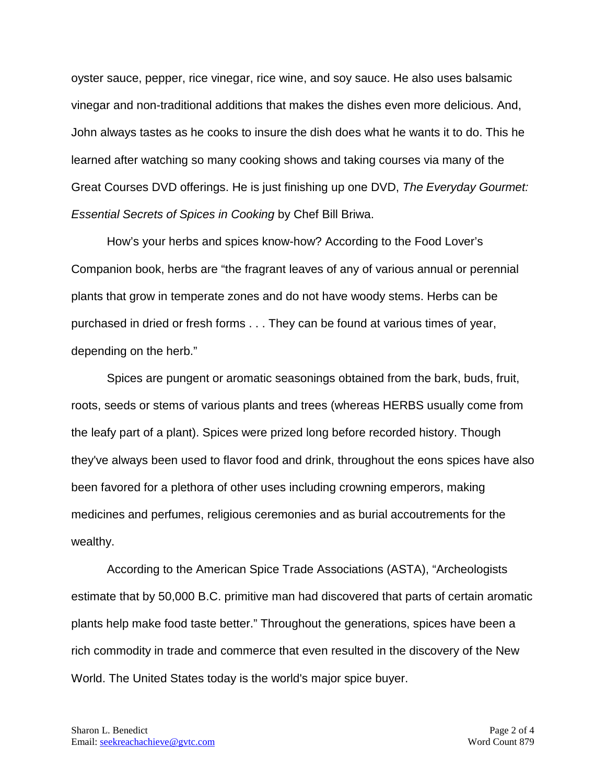oyster sauce, pepper, rice vinegar, rice wine, and soy sauce. He also uses balsamic vinegar and non-traditional additions that makes the dishes even more delicious. And, John always tastes as he cooks to insure the dish does what he wants it to do. This he learned after watching so many cooking shows and taking courses via many of the Great Courses DVD offerings. He is just finishing up one DVD, *The Everyday Gourmet: Essential Secrets of Spices in Cooking* by Chef Bill Briwa.

How's your herbs and spices know-how? According to the Food Lover's Companion book, herbs are "the fragrant leaves of any of various annual or perennial plants that grow in temperate zones and do not have woody stems. Herbs can be purchased in dried or fresh forms . . . They can be found at various times of year, depending on the herb."

Spices are pungent or aromatic seasonings obtained from the bark, buds, fruit, roots, seeds or stems of various plants and trees (whereas HERBS usually come from the leafy part of a plant). Spices were prized long before recorded history. Though they've always been used to flavor food and drink, throughout the eons spices have also been favored for a plethora of other uses including crowning emperors, making medicines and perfumes, religious ceremonies and as burial accoutrements for the wealthy.

According to the American Spice Trade Associations (ASTA), "Archeologists estimate that by 50,000 B.C. primitive man had discovered that parts of certain aromatic plants help make food taste better." Throughout the generations, spices have been a rich commodity in trade and commerce that even resulted in the discovery of the New World. The United States today is the world's major spice buyer.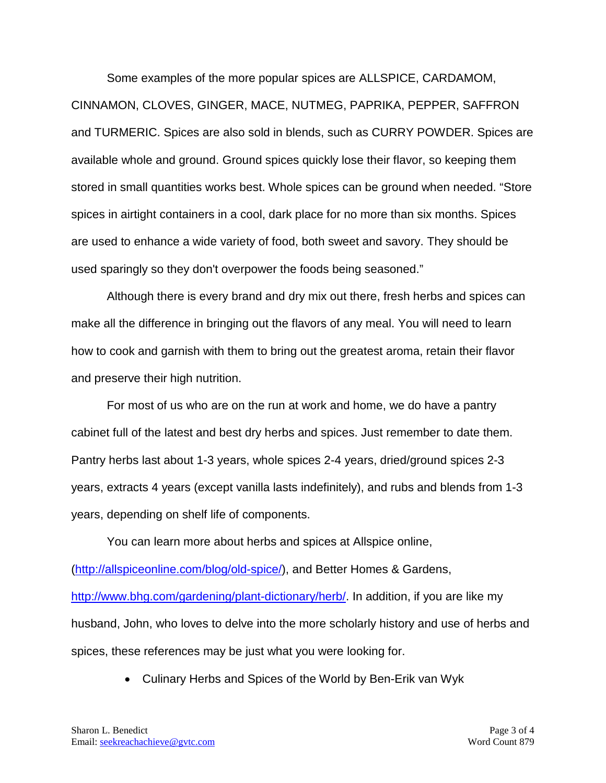Some examples of the more popular spices are ALLSPICE, CARDAMOM, CINNAMON, CLOVES, GINGER, MACE, NUTMEG, PAPRIKA, PEPPER, SAFFRON and TURMERIC. Spices are also sold in blends, such as CURRY POWDER. Spices are available whole and ground. Ground spices quickly lose their flavor, so keeping them stored in small quantities works best. Whole spices can be ground when needed. "Store spices in airtight containers in a cool, dark place for no more than six months. Spices are used to enhance a wide variety of food, both sweet and savory. They should be used sparingly so they don't overpower the foods being seasoned."

Although there is every brand and dry mix out there, fresh herbs and spices can make all the difference in bringing out the flavors of any meal. You will need to learn how to cook and garnish with them to bring out the greatest aroma, retain their flavor and preserve their high nutrition.

For most of us who are on the run at work and home, we do have a pantry cabinet full of the latest and best dry herbs and spices. Just remember to date them. Pantry herbs last about 1-3 years, whole spices 2-4 years, dried/ground spices 2-3 years, extracts 4 years (except vanilla lasts indefinitely), and rubs and blends from 1-3 years, depending on shelf life of components.

You can learn more about herbs and spices at Allspice online, [\(http://allspiceonline.com/blog/old-spice/\)](http://allspiceonline.com/blog/old-spice/), and Better Homes & Gardens, [http://www.bhg.com/gardening/plant-dictionary/herb/.](http://www.bhg.com/gardening/plant-dictionary/herb/) In addition, if you are like my husband, John, who loves to delve into the more scholarly history and use of herbs and spices, these references may be just what you were looking for.

• Culinary Herbs and Spices of the World by Ben-Erik van Wyk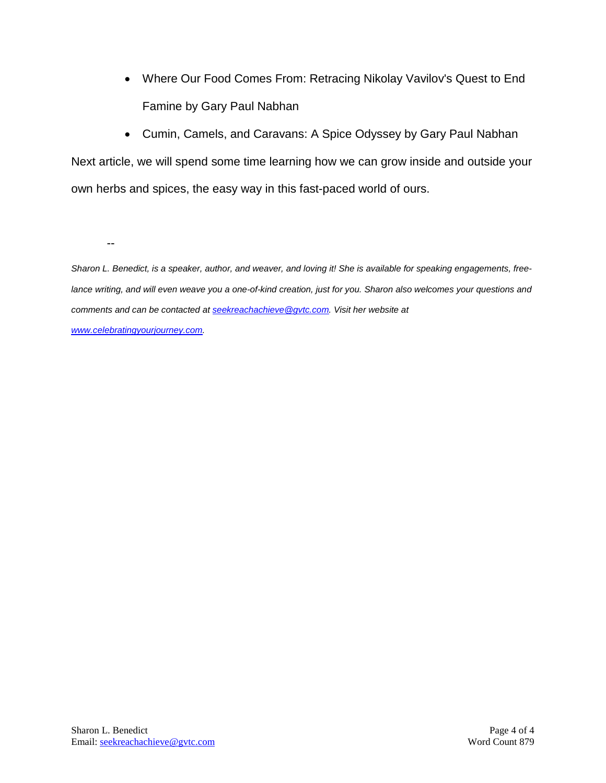- Where Our Food Comes From: Retracing Nikolay Vavilov's Quest to End Famine by Gary Paul Nabhan
- Cumin, Camels, and Caravans: A Spice Odyssey by Gary Paul Nabhan

Next article, we will spend some time learning how we can grow inside and outside your own herbs and spices, the easy way in this fast-paced world of ours.

--

*Sharon L. Benedict, is a speaker, author, and weaver, and loving it! She is available for speaking engagements, free*lance writing, and will even weave you a one-of-kind creation, just for you. Sharon also welcomes your questions and *comments and can be contacted a[t seekreachachieve@gvtc.com.](mailto:seekreachachieve@gvtc.com) Visit her website at [www.celebratingyourjourney.com.](http://www.celebratingyourjourney.com/)*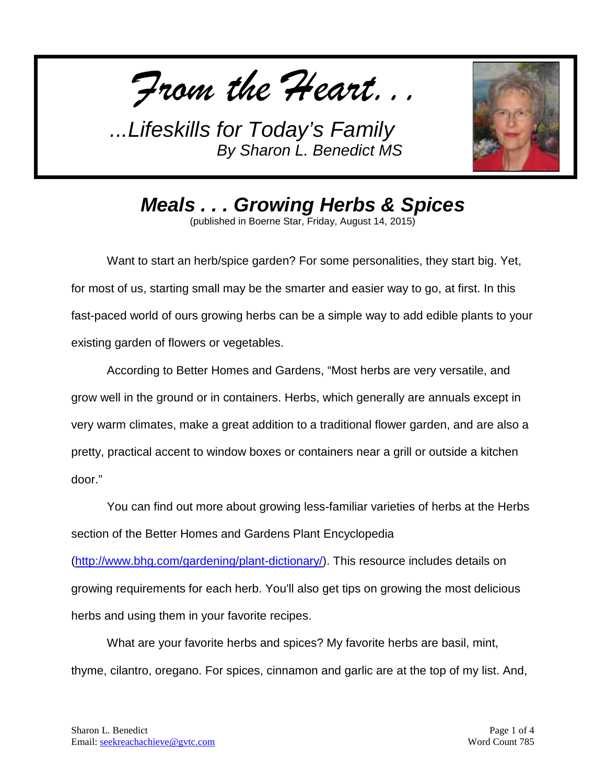*From the Heart...*



*Meals . . . Growing Herbs & Spices* (published in Boerne Star, Friday, August 14, 2015)

Want to start an herb/spice garden? For some personalities, they start big. Yet, for most of us, starting small may be the smarter and easier way to go, at first. In this fast-paced world of ours growing herbs can be a simple way to add edible plants to your

existing garden of flowers or vegetables.

According to Better Homes and Gardens, "Most herbs are very versatile, and grow well in the ground or in containers. Herbs, which generally are annuals except in very warm climates, make a great addition to a traditional flower garden, and are also a pretty, practical accent to window boxes or containers near a grill or outside a kitchen door."

You can find out more about growing less-familiar varieties of herbs at the Herbs section of the Better Homes and Gardens Plant Encyclopedia [\(http://www.bhg.com/gardening/plant-dictionary/\)](http://www.bhg.com/gardening/plant-dictionary/). This resource includes details on growing requirements for each herb. You'll also get tips on growing the most delicious herbs and using them in your favorite recipes.

What are your favorite herbs and spices? My favorite herbs are basil, mint, thyme, cilantro, oregano. For spices, cinnamon and garlic are at the top of my list. And,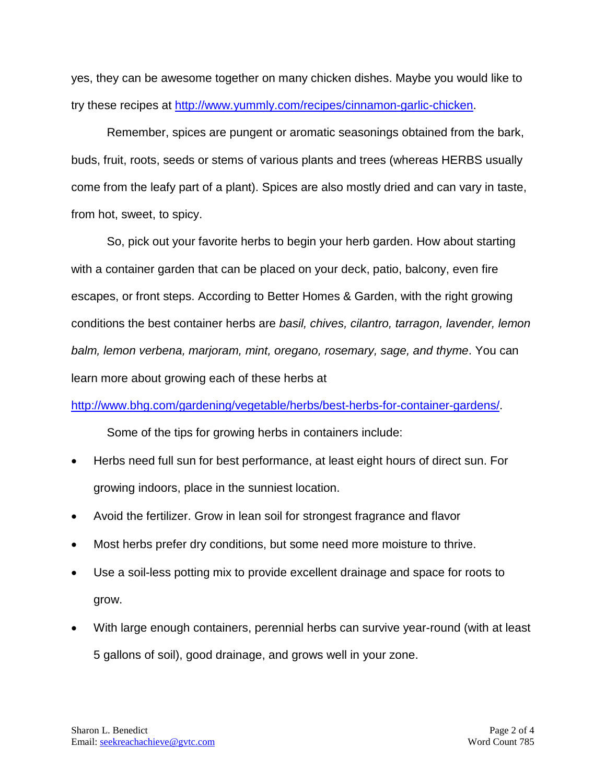yes, they can be awesome together on many chicken dishes. Maybe you would like to try these recipes at [http://www.yummly.com/recipes/cinnamon-garlic-chicken.](http://www.yummly.com/recipes/cinnamon-garlic-chicken)

Remember, spices are pungent or aromatic seasonings obtained from the bark, buds, fruit, roots, seeds or stems of various plants and trees (whereas HERBS usually come from the leafy part of a plant). Spices are also mostly dried and can vary in taste, from hot, sweet, to spicy.

So, pick out your favorite herbs to begin your herb garden. How about starting with a container garden that can be placed on your deck, patio, balcony, even fire escapes, or front steps. According to Better Homes & Garden, with the right growing conditions the best container herbs are *basil, chives, cilantro, tarragon, lavender, lemon balm, lemon verbena, marjoram, mint, oregano, rosemary, sage, and thyme*. You can learn more about growing each of these herbs at

[http://www.bhg.com/gardening/vegetable/herbs/best-herbs-for-container-gardens/.](http://www.bhg.com/gardening/vegetable/herbs/best-herbs-for-container-gardens/)

Some of the tips for growing herbs in containers include:

- Herbs need full sun for best performance, at least eight hours of direct sun. For growing indoors, place in the sunniest location.
- Avoid the fertilizer. Grow in lean soil for strongest fragrance and flavor
- Most herbs prefer dry conditions, but some need more moisture to thrive.
- Use a soil-less potting mix to provide excellent drainage and space for roots to grow.
- With large enough containers, perennial herbs can survive year-round (with at least 5 gallons of soil), good drainage, and grows well in your zone.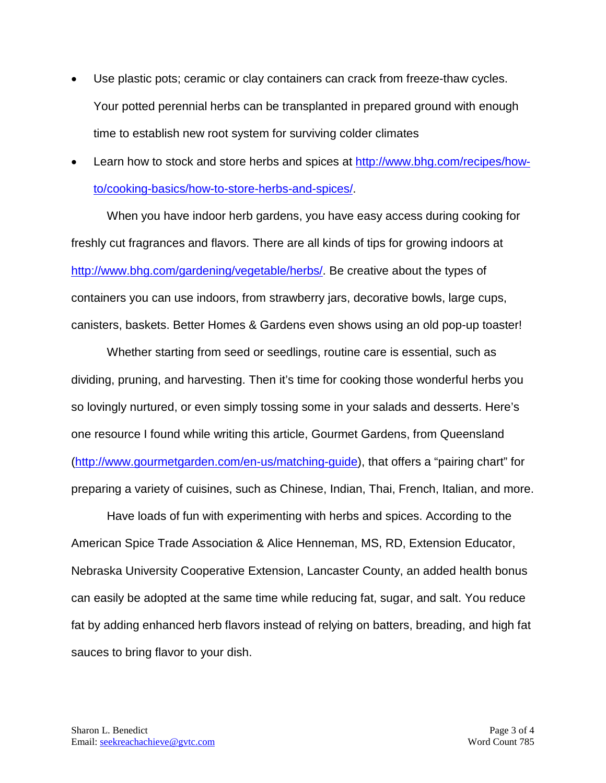- Use plastic pots; ceramic or clay containers can crack from freeze-thaw cycles. Your potted perennial herbs can be transplanted in prepared ground with enough time to establish new root system for surviving colder climates
- Learn how to stock and store herbs and spices at [http://www.bhg.com/recipes/how](http://www.bhg.com/recipes/how-to/cooking-basics/how-to-store-herbs-and-spices/)[to/cooking-basics/how-to-store-herbs-and-spices/.](http://www.bhg.com/recipes/how-to/cooking-basics/how-to-store-herbs-and-spices/)

When you have indoor herb gardens, you have easy access during cooking for freshly cut fragrances and flavors. There are all kinds of tips for growing indoors at [http://www.bhg.com/gardening/vegetable/herbs/.](http://www.bhg.com/gardening/vegetable/herbs/) Be creative about the types of containers you can use indoors, from strawberry jars, decorative bowls, large cups, canisters, baskets. Better Homes & Gardens even shows using an old pop-up toaster!

Whether starting from seed or seedlings, routine care is essential, such as dividing, pruning, and harvesting. Then it's time for cooking those wonderful herbs you so lovingly nurtured, or even simply tossing some in your salads and desserts. Here's one resource I found while writing this article, Gourmet Gardens, from Queensland [\(http://www.gourmetgarden.com/en-us/matching-guide\)](http://www.gourmetgarden.com/en-us/matching-guide), that offers a "pairing chart" for preparing a variety of cuisines, such as Chinese, Indian, Thai, French, Italian, and more.

Have loads of fun with experimenting with herbs and spices. According to the American Spice Trade Association & Alice Henneman, MS, RD, Extension Educator, Nebraska University Cooperative Extension, Lancaster County, an added health bonus can easily be adopted at the same time while reducing fat, sugar, and salt. You reduce fat by adding enhanced herb flavors instead of relying on batters, breading, and high fat sauces to bring flavor to your dish.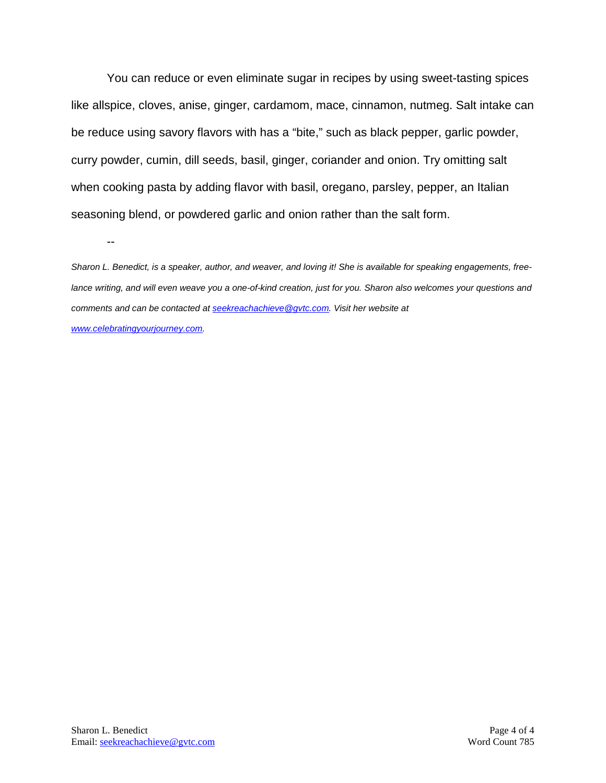You can reduce or even eliminate sugar in recipes by using sweet-tasting spices like allspice, cloves, anise, ginger, cardamom, mace, cinnamon, nutmeg. Salt intake can be reduce using savory flavors with has a "bite," such as black pepper, garlic powder, curry powder, cumin, dill seeds, basil, ginger, coriander and onion. Try omitting salt when cooking pasta by adding flavor with basil, oregano, parsley, pepper, an Italian seasoning blend, or powdered garlic and onion rather than the salt form.

--

*Sharon L. Benedict, is a speaker, author, and weaver, and loving it! She is available for speaking engagements, freelance writing, and will even weave you a one-of-kind creation, just for you. Sharon also welcomes your questions and comments and can be contacted a[t seekreachachieve@gvtc.com.](mailto:seekreachachieve@gvtc.com) Visit her website at [www.celebratingyourjourney.com.](http://www.celebratingyourjourney.com/)*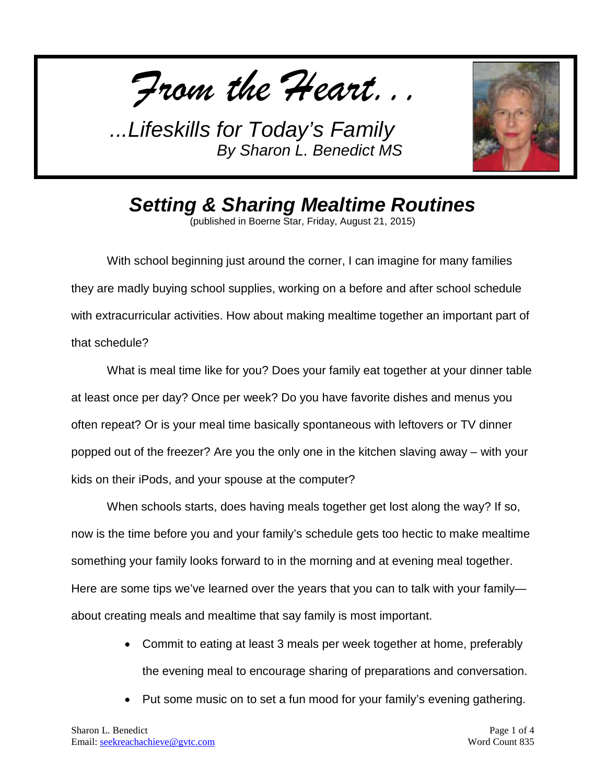*From the Heart...*



*Setting & Sharing Mealtime Routines*

(published in Boerne Star, Friday, August 21, 2015)

With school beginning just around the corner, I can imagine for many families they are madly buying school supplies, working on a before and after school schedule with extracurricular activities. How about making mealtime together an important part of that schedule?

What is meal time like for you? Does your family eat together at your dinner table at least once per day? Once per week? Do you have favorite dishes and menus you often repeat? Or is your meal time basically spontaneous with leftovers or TV dinner popped out of the freezer? Are you the only one in the kitchen slaving away – with your kids on their iPods, and your spouse at the computer?

When schools starts, does having meals together get lost along the way? If so, now is the time before you and your family's schedule gets too hectic to make mealtime something your family looks forward to in the morning and at evening meal together. Here are some tips we've learned over the years that you can to talk with your family about creating meals and mealtime that say family is most important.

- Commit to eating at least 3 meals per week together at home, preferably the evening meal to encourage sharing of preparations and conversation.
- Put some music on to set a fun mood for your family's evening gathering.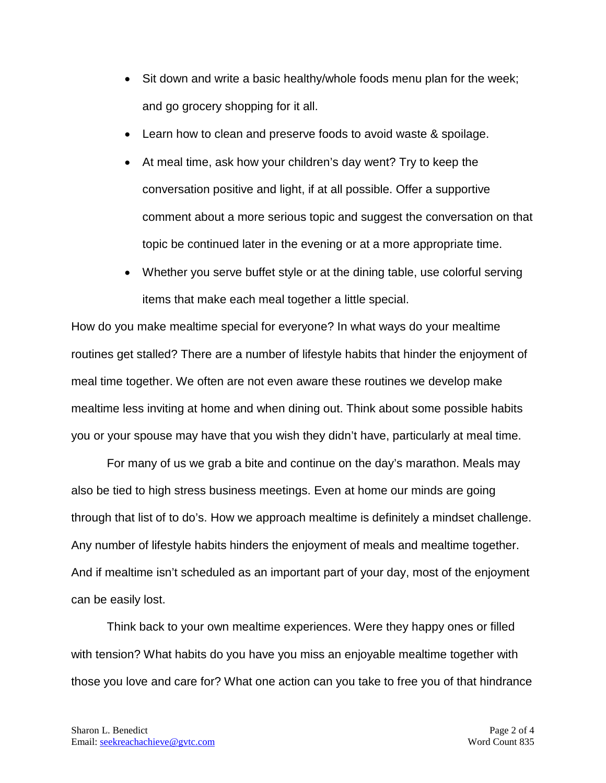- Sit down and write a basic healthy/whole foods menu plan for the week; and go grocery shopping for it all.
- Learn how to clean and preserve foods to avoid waste & spoilage.
- At meal time, ask how your children's day went? Try to keep the conversation positive and light, if at all possible. Offer a supportive comment about a more serious topic and suggest the conversation on that topic be continued later in the evening or at a more appropriate time.
- Whether you serve buffet style or at the dining table, use colorful serving items that make each meal together a little special.

How do you make mealtime special for everyone? In what ways do your mealtime routines get stalled? There are a number of lifestyle habits that hinder the enjoyment of meal time together. We often are not even aware these routines we develop make mealtime less inviting at home and when dining out. Think about some possible habits you or your spouse may have that you wish they didn't have, particularly at meal time.

For many of us we grab a bite and continue on the day's marathon. Meals may also be tied to high stress business meetings. Even at home our minds are going through that list of to do's. How we approach mealtime is definitely a mindset challenge. Any number of lifestyle habits hinders the enjoyment of meals and mealtime together. And if mealtime isn't scheduled as an important part of your day, most of the enjoyment can be easily lost.

Think back to your own mealtime experiences. Were they happy ones or filled with tension? What habits do you have you miss an enjoyable mealtime together with those you love and care for? What one action can you take to free you of that hindrance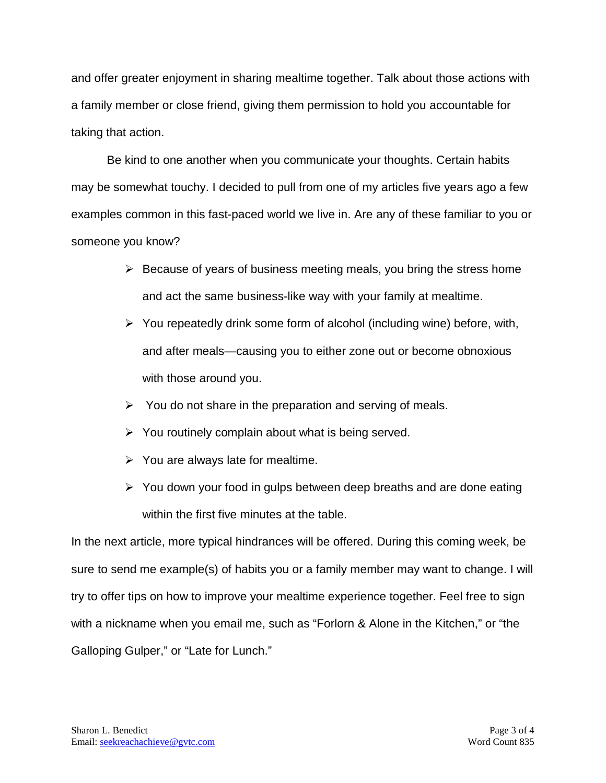and offer greater enjoyment in sharing mealtime together. Talk about those actions with a family member or close friend, giving them permission to hold you accountable for taking that action.

Be kind to one another when you communicate your thoughts. Certain habits may be somewhat touchy. I decided to pull from one of my articles five years ago a few examples common in this fast-paced world we live in. Are any of these familiar to you or someone you know?

- $\triangleright$  Because of years of business meeting meals, you bring the stress home and act the same business-like way with your family at mealtime.
- $\triangleright$  You repeatedly drink some form of alcohol (including wine) before, with, and after meals—causing you to either zone out or become obnoxious with those around you.
- $\triangleright$  You do not share in the preparation and serving of meals.
- $\triangleright$  You routinely complain about what is being served.
- $\triangleright$  You are always late for mealtime.
- $\triangleright$  You down your food in gulps between deep breaths and are done eating within the first five minutes at the table.

In the next article, more typical hindrances will be offered. During this coming week, be sure to send me example(s) of habits you or a family member may want to change. I will try to offer tips on how to improve your mealtime experience together. Feel free to sign with a nickname when you email me, such as "Forlorn & Alone in the Kitchen," or "the Galloping Gulper," or "Late for Lunch."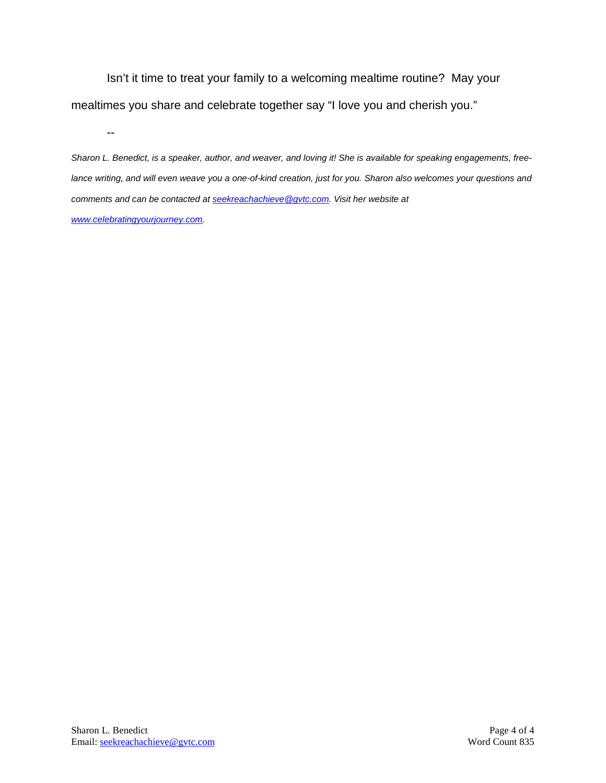Isn't it time to treat your family to a welcoming mealtime routine? May your mealtimes you share and celebrate together say "I love you and cherish you."

--

*Sharon L. Benedict, is a speaker, author, and weaver, and loving it! She is available for speaking engagements, freelance writing, and will even weave you a one-of-kind creation, just for you. Sharon also welcomes your questions and comments and can be contacted a[t seekreachachieve@gvtc.com.](mailto:seekreachachieve@gvtc.com) Visit her website at [www.celebratingyourjourney.com.](http://www.celebratingyourjourney.com/)*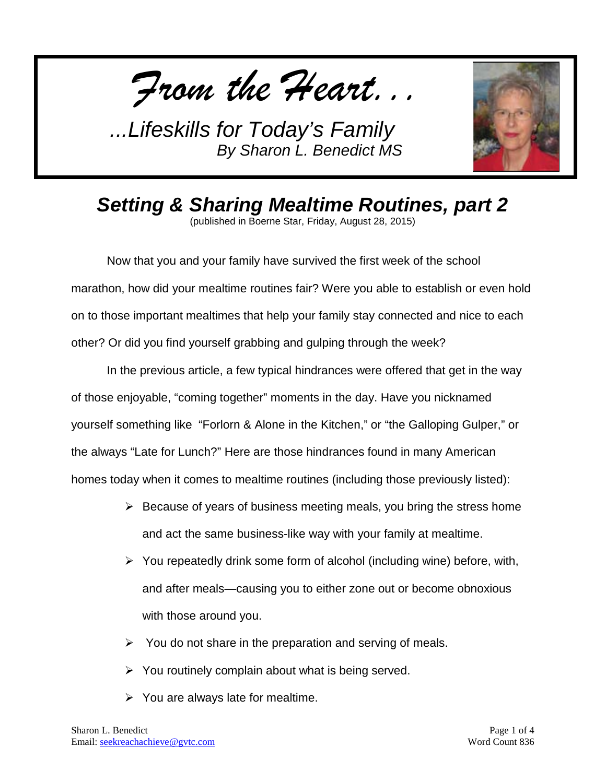*From the Heart...*



*Setting & Sharing Mealtime Routines, part 2*

(published in Boerne Star, Friday, August 28, 2015)

Now that you and your family have survived the first week of the school marathon, how did your mealtime routines fair? Were you able to establish or even hold on to those important mealtimes that help your family stay connected and nice to each other? Or did you find yourself grabbing and gulping through the week?

In the previous article, a few typical hindrances were offered that get in the way of those enjoyable, "coming together" moments in the day. Have you nicknamed yourself something like "Forlorn & Alone in the Kitchen," or "the Galloping Gulper," or the always "Late for Lunch?" Here are those hindrances found in many American homes today when it comes to mealtime routines (including those previously listed):

- $\triangleright$  Because of years of business meeting meals, you bring the stress home and act the same business-like way with your family at mealtime.
- $\triangleright$  You repeatedly drink some form of alcohol (including wine) before, with, and after meals—causing you to either zone out or become obnoxious with those around you.
- $\triangleright$  You do not share in the preparation and serving of meals.
- $\triangleright$  You routinely complain about what is being served.
- $\triangleright$  You are always late for mealtime.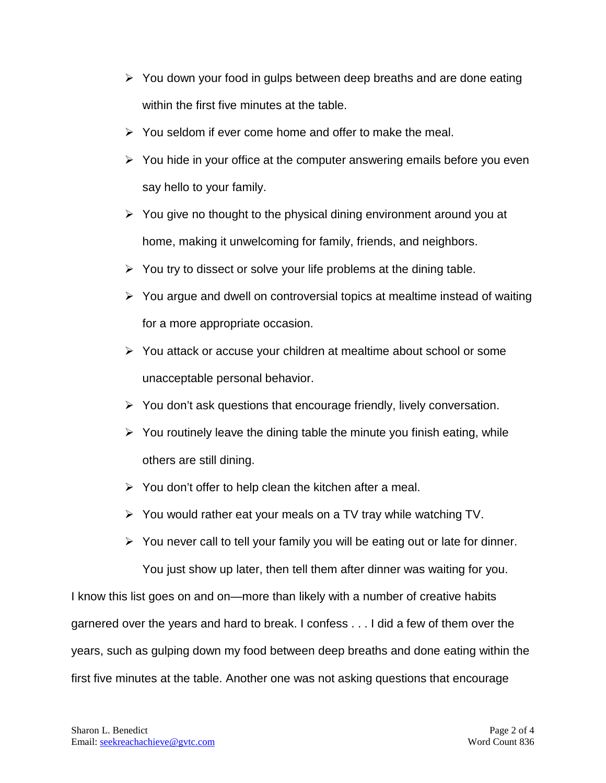- $\triangleright$  You down your food in gulps between deep breaths and are done eating within the first five minutes at the table.
- $\triangleright$  You seldom if ever come home and offer to make the meal.
- $\triangleright$  You hide in your office at the computer answering emails before you even say hello to your family.
- $\triangleright$  You give no thought to the physical dining environment around you at home, making it unwelcoming for family, friends, and neighbors.
- $\triangleright$  You try to dissect or solve your life problems at the dining table.
- $\triangleright$  You argue and dwell on controversial topics at mealtime instead of waiting for a more appropriate occasion.
- $\triangleright$  You attack or accuse your children at mealtime about school or some unacceptable personal behavior.
- $\triangleright$  You don't ask questions that encourage friendly, lively conversation.
- $\triangleright$  You routinely leave the dining table the minute you finish eating, while others are still dining.
- $\triangleright$  You don't offer to help clean the kitchen after a meal.
- $\triangleright$  You would rather eat your meals on a TV tray while watching TV.
- $\triangleright$  You never call to tell your family you will be eating out or late for dinner. You just show up later, then tell them after dinner was waiting for you.

I know this list goes on and on—more than likely with a number of creative habits garnered over the years and hard to break. I confess . . . I did a few of them over the years, such as gulping down my food between deep breaths and done eating within the first five minutes at the table. Another one was not asking questions that encourage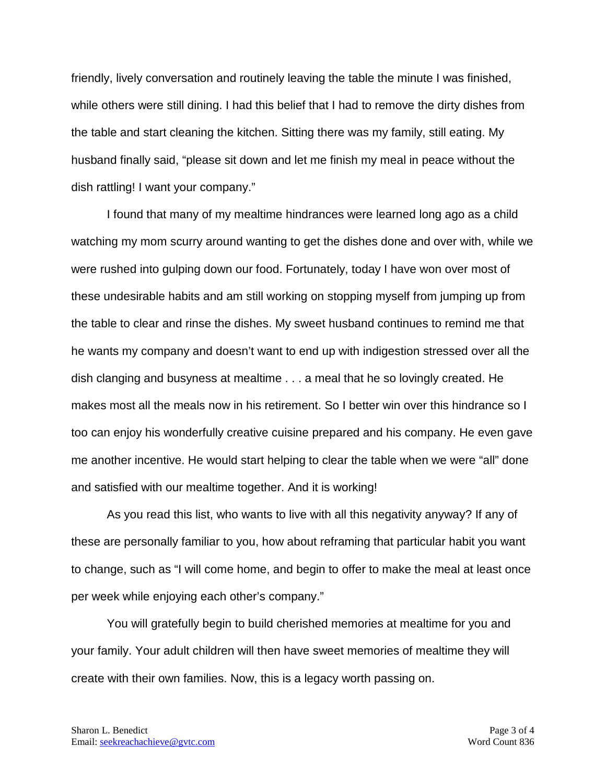friendly, lively conversation and routinely leaving the table the minute I was finished, while others were still dining. I had this belief that I had to remove the dirty dishes from the table and start cleaning the kitchen. Sitting there was my family, still eating. My husband finally said, "please sit down and let me finish my meal in peace without the dish rattling! I want your company."

I found that many of my mealtime hindrances were learned long ago as a child watching my mom scurry around wanting to get the dishes done and over with, while we were rushed into gulping down our food. Fortunately, today I have won over most of these undesirable habits and am still working on stopping myself from jumping up from the table to clear and rinse the dishes. My sweet husband continues to remind me that he wants my company and doesn't want to end up with indigestion stressed over all the dish clanging and busyness at mealtime . . . a meal that he so lovingly created. He makes most all the meals now in his retirement. So I better win over this hindrance so I too can enjoy his wonderfully creative cuisine prepared and his company. He even gave me another incentive. He would start helping to clear the table when we were "all" done and satisfied with our mealtime together. And it is working!

As you read this list, who wants to live with all this negativity anyway? If any of these are personally familiar to you, how about reframing that particular habit you want to change, such as "I will come home, and begin to offer to make the meal at least once per week while enjoying each other's company."

You will gratefully begin to build cherished memories at mealtime for you and your family. Your adult children will then have sweet memories of mealtime they will create with their own families. Now, this is a legacy worth passing on.